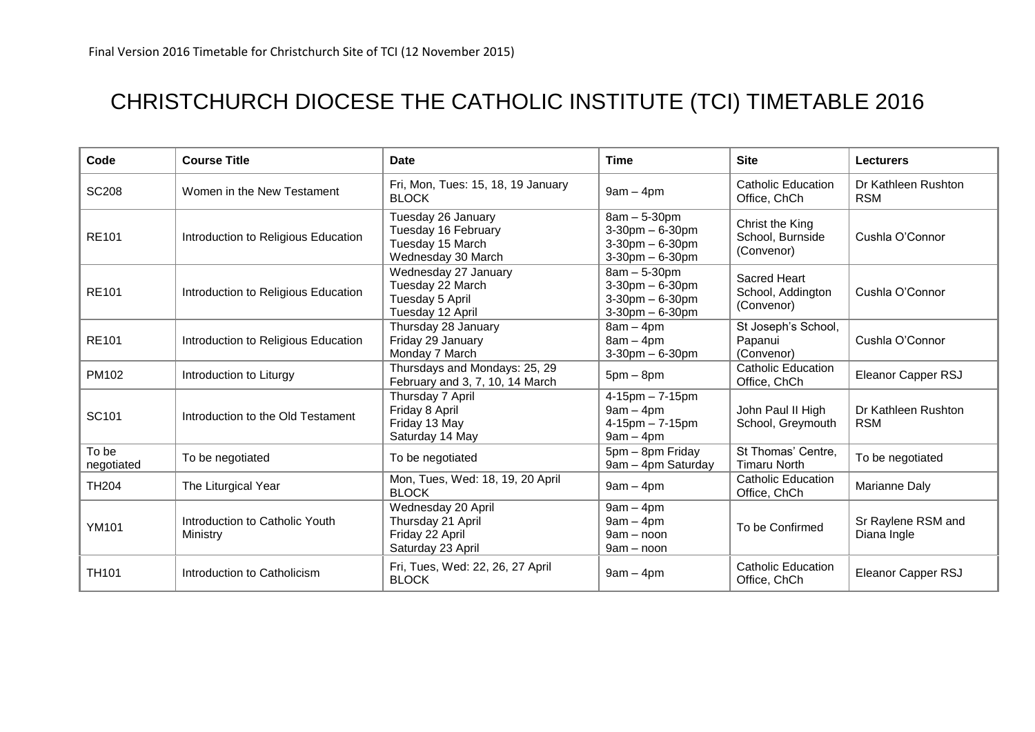## CHRISTCHURCH DIOCESE THE CATHOLIC INSTITUTE (TCI) TIMETABLE 2016

| Code                | <b>Course Title</b>                        | <b>Date</b>                                                                         | Time                                                                                   | <b>Site</b>                                            | <b>Lecturers</b>                  |
|---------------------|--------------------------------------------|-------------------------------------------------------------------------------------|----------------------------------------------------------------------------------------|--------------------------------------------------------|-----------------------------------|
| <b>SC208</b>        | Women in the New Testament                 | Fri, Mon, Tues: 15, 18, 19 January<br><b>BLOCK</b>                                  | $9am - 4pm$                                                                            | <b>Catholic Education</b><br>Office, ChCh              | Dr Kathleen Rushton<br><b>RSM</b> |
| <b>RE101</b>        | Introduction to Religious Education        | Tuesday 26 January<br>Tuesday 16 February<br>Tuesday 15 March<br>Wednesday 30 March | $8am - 5-30pm$<br>$3-30$ pm $-6-30$ pm<br>$3-30$ pm $-6-30$ pm<br>$3-30$ pm $-6-30$ pm | Christ the King<br>School, Burnside<br>(Convenor)      | Cushla O'Connor                   |
| <b>RE101</b>        | Introduction to Religious Education        | Wednesday 27 January<br>Tuesday 22 March<br>Tuesday 5 April<br>Tuesday 12 April     | $8am - 5-30pm$<br>$3-30$ pm $-6-30$ pm<br>3-30pm - 6-30pm<br>$3-30$ pm $-6-30$ pm      | <b>Sacred Heart</b><br>School, Addington<br>(Convenor) | Cushla O'Connor                   |
| <b>RE101</b>        | Introduction to Religious Education        | Thursday 28 January<br>Friday 29 January<br>Monday 7 March                          | $8am - 4pm$<br>$8am - 4pm$<br>$3-30$ pm $-6-30$ pm                                     | St Joseph's School,<br>Papanui<br>(Convenor)           | Cushla O'Connor                   |
| PM102               | Introduction to Liturgy                    | Thursdays and Mondays: 25, 29<br>February and 3, 7, 10, 14 March                    | $5pm - 8pm$                                                                            | <b>Catholic Education</b><br>Office, ChCh              | Eleanor Capper RSJ                |
| SC101               | Introduction to the Old Testament          | Thursday 7 April<br>Friday 8 April<br>Friday 13 May<br>Saturday 14 May              | $4 - 15$ pm $- 7 - 15$ pm<br>$9am - 4pm$<br>$4 - 15$ pm $- 7 - 15$ pm<br>$9am - 4pm$   | John Paul II High<br>School, Greymouth                 | Dr Kathleen Rushton<br><b>RSM</b> |
| To be<br>negotiated | To be negotiated                           | To be negotiated                                                                    | 5pm - 8pm Friday<br>9am - 4pm Saturday                                                 | St Thomas' Centre,<br><b>Timaru North</b>              | To be negotiated                  |
| <b>TH204</b>        | The Liturgical Year                        | Mon, Tues, Wed: 18, 19, 20 April<br><b>BLOCK</b>                                    | $9am - 4pm$                                                                            | Catholic Education<br>Office, ChCh                     | Marianne Daly                     |
| <b>YM101</b>        | Introduction to Catholic Youth<br>Ministry | Wednesday 20 April<br>Thursday 21 April<br>Friday 22 April<br>Saturday 23 April     | $9am - 4pm$<br>$9am - 4pm$<br>$9am - noon$<br>9am - noon                               | To be Confirmed                                        | Sr Raylene RSM and<br>Diana Ingle |
| <b>TH101</b>        | Introduction to Catholicism                | Fri, Tues, Wed: 22, 26, 27 April<br><b>BLOCK</b>                                    | $9am - 4pm$                                                                            | Catholic Education<br>Office, ChCh                     | Eleanor Capper RSJ                |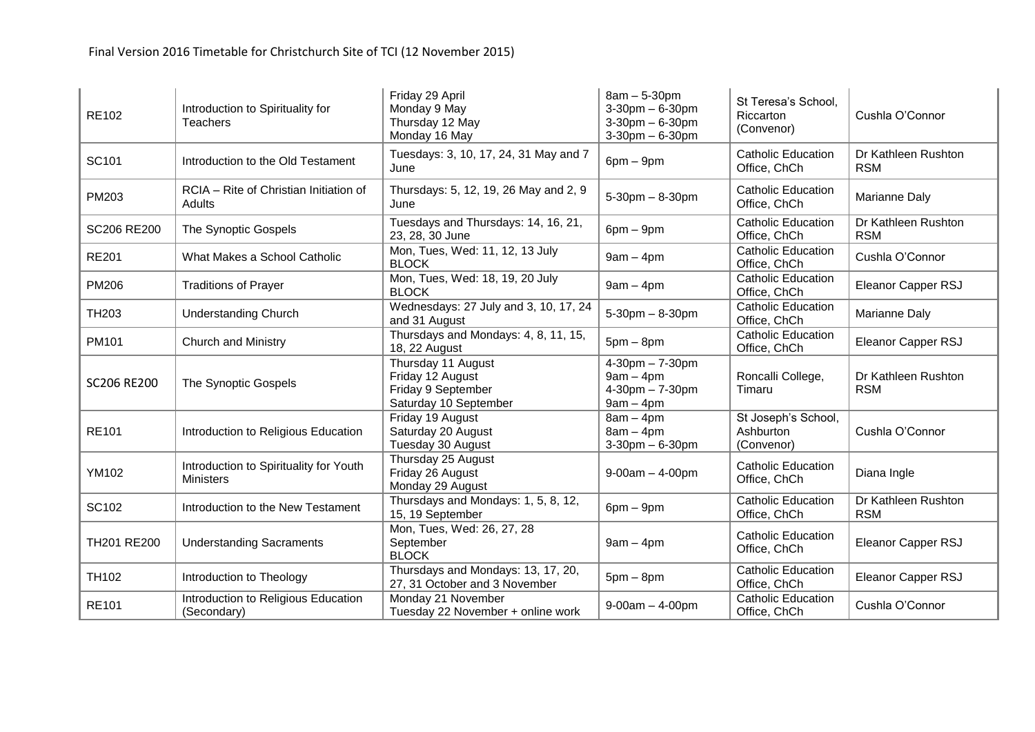| <b>RE102</b>       | Introduction to Spirituality for<br><b>Teachers</b>        | Friday 29 April<br>Monday 9 May<br>Thursday 12 May<br>Monday 16 May                   | $8am - 5-30pm$<br>$3-30$ pm $-6-30$ pm<br>$3-30$ pm $-6-30$ pm<br>$3-30$ pm $-6-30$ pm | St Teresa's School,<br>Riccarton<br>(Convenor) | Cushla O'Connor                   |
|--------------------|------------------------------------------------------------|---------------------------------------------------------------------------------------|----------------------------------------------------------------------------------------|------------------------------------------------|-----------------------------------|
| SC101              | Introduction to the Old Testament                          | Tuesdays: 3, 10, 17, 24, 31 May and 7<br>June                                         | $6pm - 9pm$                                                                            | <b>Catholic Education</b><br>Office, ChCh      | Dr Kathleen Rushton<br><b>RSM</b> |
| PM203              | RCIA - Rite of Christian Initiation of<br>Adults           | Thursdays: 5, 12, 19, 26 May and 2, 9<br>June                                         | $5 - 30$ pm $- 8 - 30$ pm                                                              | <b>Catholic Education</b><br>Office, ChCh      | Marianne Daly                     |
| SC206 RE200        | The Synoptic Gospels                                       | Tuesdays and Thursdays: 14, 16, 21,<br>23, 28, 30 June                                | $6$ pm $-9$ pm                                                                         | <b>Catholic Education</b><br>Office, ChCh      | Dr Kathleen Rushton<br><b>RSM</b> |
| <b>RE201</b>       | What Makes a School Catholic                               | Mon, Tues, Wed: 11, 12, 13 July<br><b>BLOCK</b>                                       | $9am - 4pm$                                                                            | Catholic Education<br>Office, ChCh             | Cushla O'Connor                   |
| <b>PM206</b>       | <b>Traditions of Prayer</b>                                | Mon, Tues, Wed: 18, 19, 20 July<br><b>BLOCK</b>                                       | $9am - 4pm$                                                                            | <b>Catholic Education</b><br>Office, ChCh      | Eleanor Capper RSJ                |
| TH <sub>203</sub>  | <b>Understanding Church</b>                                | Wednesdays: 27 July and 3, 10, 17, 24<br>and 31 August                                | $5 - 30$ pm $- 8 - 30$ pm                                                              | <b>Catholic Education</b><br>Office, ChCh      | Marianne Daly                     |
| PM101              | <b>Church and Ministry</b>                                 | Thursdays and Mondays: 4, 8, 11, 15,<br>18, 22 August                                 | $5pm-8pm$                                                                              | <b>Catholic Education</b><br>Office, ChCh      | Eleanor Capper RSJ                |
| <b>SC206 RE200</b> | The Synoptic Gospels                                       | Thursday 11 August<br>Friday 12 August<br>Friday 9 September<br>Saturday 10 September | $4 - 30$ pm $- 7 - 30$ pm<br>$9am - 4pm$<br>$4 - 30$ pm $- 7 - 30$ pm<br>$9am - 4pm$   | Roncalli College,<br>Timaru                    | Dr Kathleen Rushton<br><b>RSM</b> |
| <b>RE101</b>       | Introduction to Religious Education                        | Friday 19 August<br>Saturday 20 August<br>Tuesday 30 August                           | $8am - 4pm$<br>$8am - 4pm$<br>$3-30$ pm $-6-30$ pm                                     | St Joseph's School,<br>Ashburton<br>(Convenor) | Cushla O'Connor                   |
| YM102              | Introduction to Spirituality for Youth<br><b>Ministers</b> | Thursday 25 August<br>Friday 26 August<br>Monday 29 August                            | $9 - 00$ am $- 4 - 00$ pm                                                              | <b>Catholic Education</b><br>Office, ChCh      | Diana Ingle                       |
| SC102              | Introduction to the New Testament                          | Thursdays and Mondays: 1, 5, 8, 12,<br>15, 19 September                               | $6pm - 9pm$                                                                            | <b>Catholic Education</b><br>Office, ChCh      | Dr Kathleen Rushton<br><b>RSM</b> |
| TH201 RE200        | <b>Understanding Sacraments</b>                            | Mon, Tues, Wed: 26, 27, 28<br>September<br><b>BLOCK</b>                               | $9am - 4pm$                                                                            | <b>Catholic Education</b><br>Office, ChCh      | Eleanor Capper RSJ                |
| TH102              | Introduction to Theology                                   | Thursdays and Mondays: 13, 17, 20,<br>27, 31 October and 3 November                   | $5pm-8pm$                                                                              | <b>Catholic Education</b><br>Office, ChCh      | Eleanor Capper RSJ                |
| <b>RE101</b>       | Introduction to Religious Education<br>(Secondary)         | Monday 21 November<br>Tuesday 22 November + online work                               | $9 - 00$ am $- 4 - 00$ pm                                                              | <b>Catholic Education</b><br>Office, ChCh      | Cushla O'Connor                   |